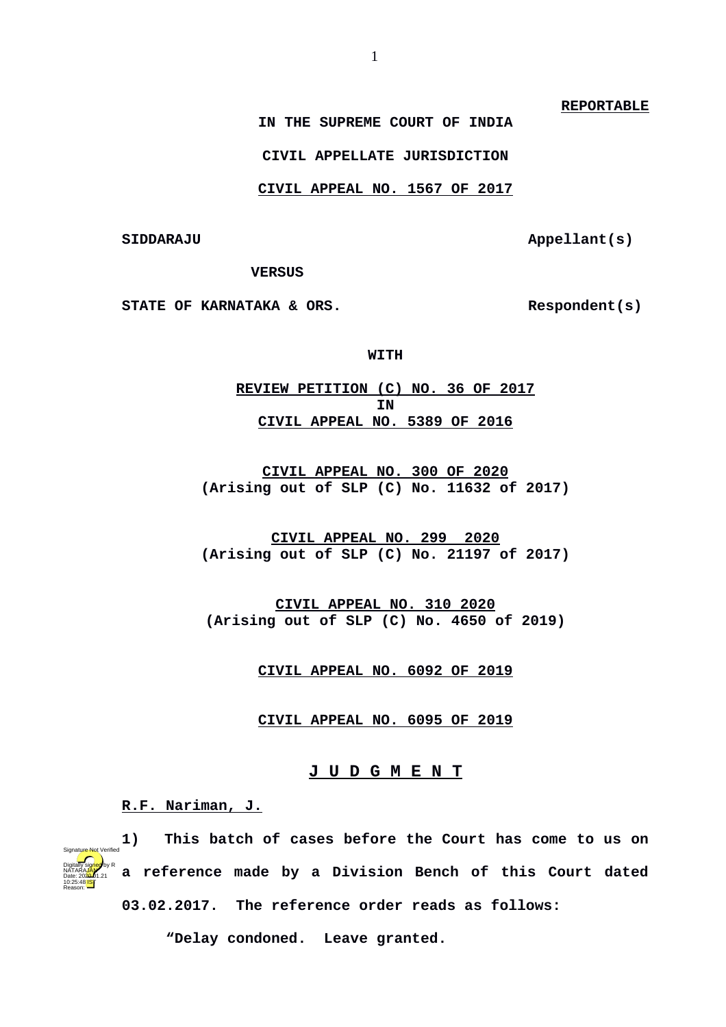**REPORTABLE**

## **IN THE SUPREME COURT OF INDIA**

**CIVIL APPELLATE JURISDICTION**

**CIVIL APPEAL NO. 1567 OF 2017**

SIDDARAJU **Appellant(s)** 

**VERSUS**

STATE OF KARNATAKA & ORS. Respondent(s)

**WITH**

# **REVIEW PETITION (C) NO. 36 OF 2017 IN CIVIL APPEAL NO. 5389 OF 2016**

**CIVIL APPEAL NO. 300 OF 2020 (Arising out of SLP (C) No. 11632 of 2017)**

**CIVIL APPEAL NO. 299 2020 (Arising out of SLP (C) No. 21197 of 2017)**

**CIVIL APPEAL NO. 310 2020 (Arising out of SLP (C) No. 4650 of 2019)**

**CIVIL APPEAL NO. 6092 OF 2019**

**CIVIL APPEAL NO. 6095 OF 2019**

## **J U D G M E N T**

**R.F. Nariman, J.**

**1) This batch of cases before the Court has come to us on a reference made by a Division Bench of this Court dated 03.02.2017. The reference order reads as follows:** Digitally signed by R NATARA<mark>JAN</mark> Date: 2020.01.21 10:25:48<sup>1ST</sup> Reason: Signature Not Verified

**"Delay condoned. Leave granted.**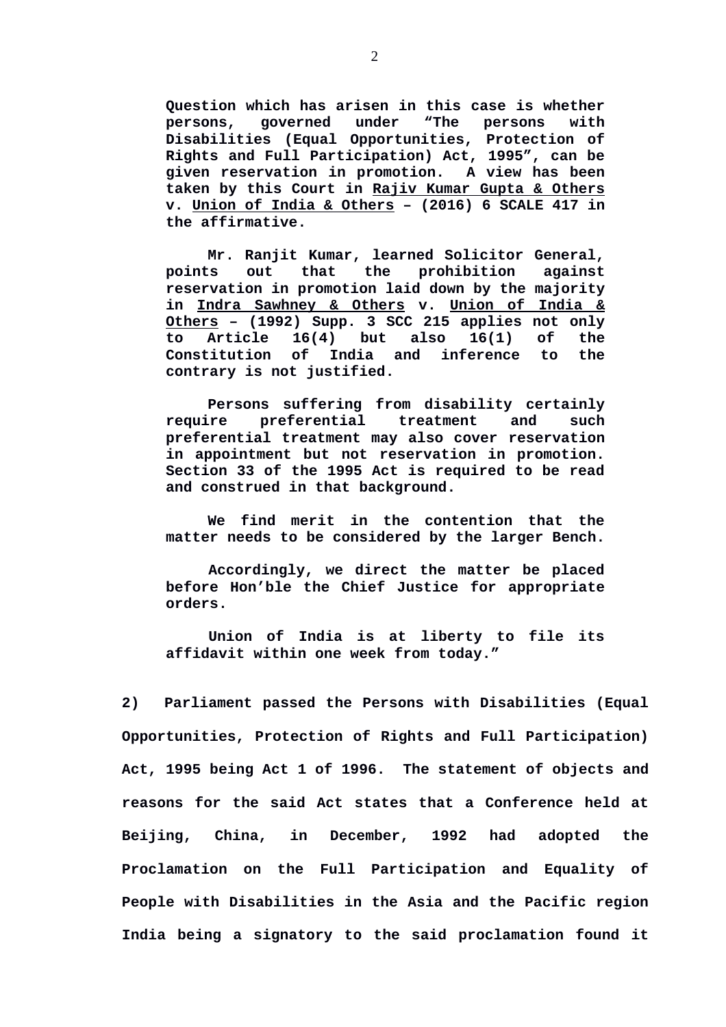**Question which has arisen in this case is whether persons, governed under "The persons with Disabilities (Equal Opportunities, Protection of Rights and Full Participation) Act, 1995", can be given reservation in promotion. A view has been taken by this Court in Rajiv Kumar Gupta & Others v. Union of India & Others – (2016) 6 SCALE 417 in the affirmative.** 

**Mr. Ranjit Kumar, learned Solicitor General, points out that the prohibition against reservation in promotion laid down by the majority in Indra Sawhney & Others v. Union of India & Others – (1992) Supp. 3 SCC 215 applies not only to Article 16(4) but also 16(1) of the Constitution of India and inference to the contrary is not justified.**

**Persons suffering from disability certainly require preferential treatment and such preferential treatment may also cover reservation in appointment but not reservation in promotion. Section 33 of the 1995 Act is required to be read and construed in that background.**

**We find merit in the contention that the matter needs to be considered by the larger Bench.**

**Accordingly, we direct the matter be placed before Hon'ble the Chief Justice for appropriate orders.**

**Union of India is at liberty to file its affidavit within one week from today."**

**2) Parliament passed the Persons with Disabilities (Equal Opportunities, Protection of Rights and Full Participation) Act, 1995 being Act 1 of 1996. The statement of objects and reasons for the said Act states that a Conference held at Beijing, China, in December, 1992 had adopted the Proclamation on the Full Participation and Equality of People with Disabilities in the Asia and the Pacific region India being a signatory to the said proclamation found it**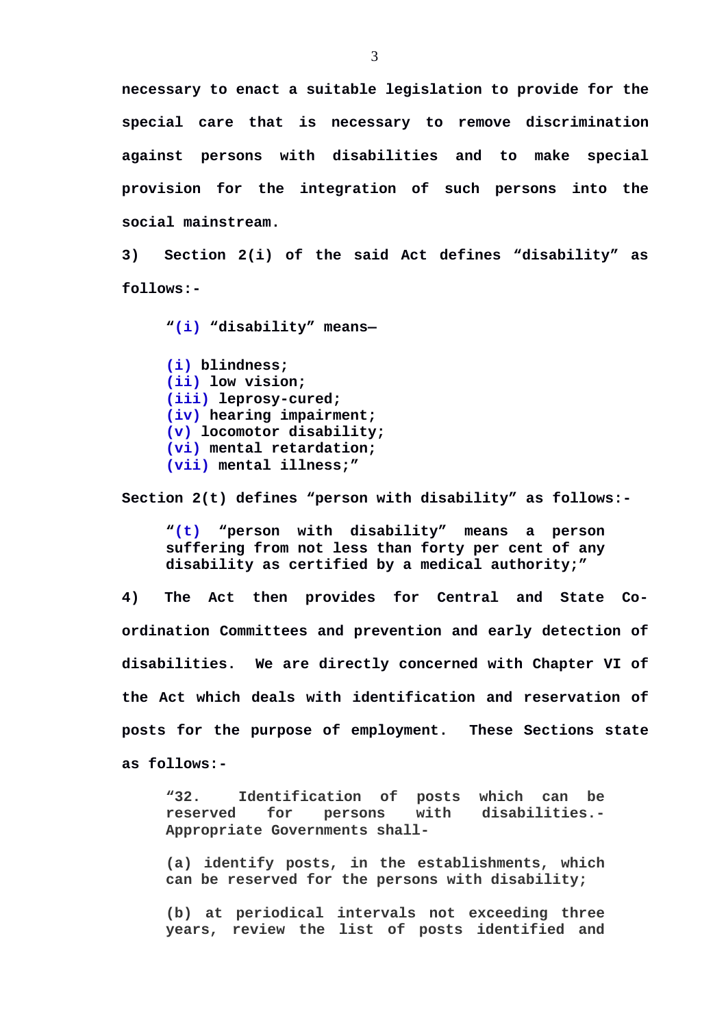**necessary to enact a suitable legislation to provide for the special care that is necessary to remove discrimination against persons with disabilities and to make special provision for the integration of such persons into the social mainstream.**

**3) Section 2(i) of the said Act defines "disability" as follows:-**

**["\(i\)](https://indiankanoon.org/doc/1432268/) "disability" means—**

**[\(i\)](https://indiankanoon.org/doc/548197/) blindness; [\(ii\)](https://indiankanoon.org/doc/1873983/) low vision; [\(iii\)](https://indiankanoon.org/doc/1240148/) leprosy-cured; [\(iv\)](https://indiankanoon.org/doc/1136275/) hearing impairment; [\(v\)](https://indiankanoon.org/doc/1331484/) locomotor disability; [\(vi\)](https://indiankanoon.org/doc/477044/) mental retardation; [\(vii\)](https://indiankanoon.org/doc/59988525/) mental illness;"**

**Section 2(t) defines "person with disability" as follows:-**

**["\(t\)](https://indiankanoon.org/doc/1098960/) "person with disability" means a person suffering from not less than forty per cent of any disability as certified by a medical authority;"**

**4) The Act then provides for Central and State Coordination Committees and prevention and early detection of disabilities. We are directly concerned with Chapter VI of the Act which deals with identification and reservation of posts for the purpose of employment. These Sections state as follows:-** 

**"32. Identification of posts which can be reserved for persons with disabilities.- Appropriate Governments shall-** 

**(a) identify posts, in the establishments, which can be reserved for the persons with disability;**

**(b) at periodical intervals not exceeding three years, review the list of posts identified and**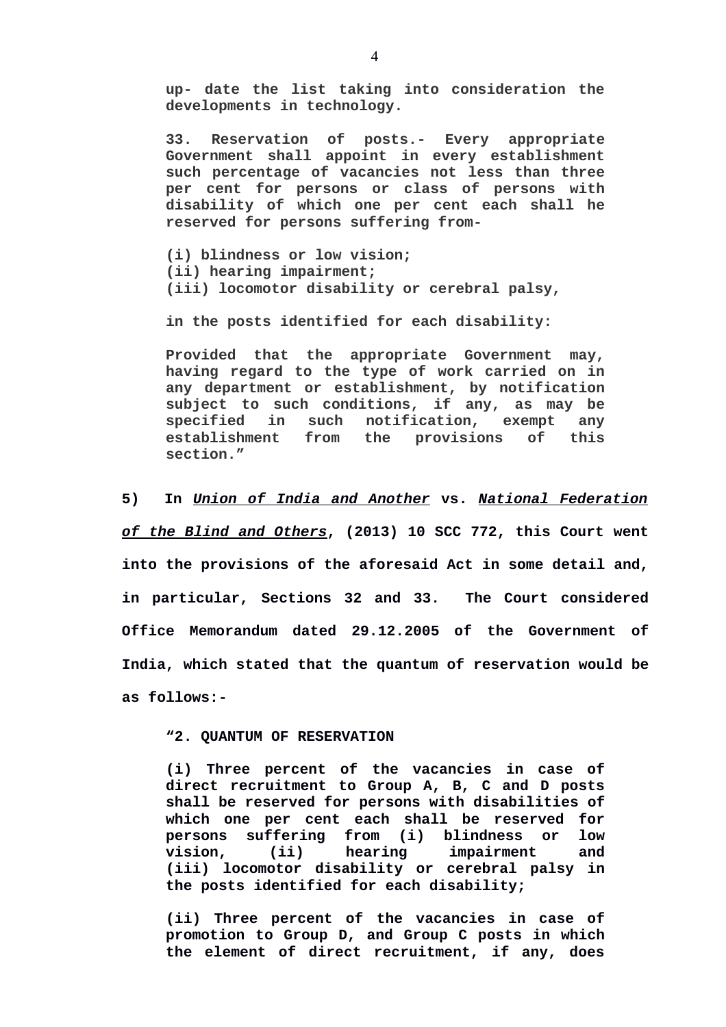**up- date the list taking into consideration the developments in technology.**

**33. Reservation of posts.- Every appropriate Government shall appoint in every establishment such percentage of vacancies not less than three per cent for persons or class of persons with disability of which one per cent each shall he reserved for persons suffering from-**

**(i) blindness or low vision; (ii) hearing impairment; (iii) locomotor disability or cerebral palsy,**

**in the posts identified for each disability:** 

**Provided that the appropriate Government may, having regard to the type of work carried on in any department or establishment, by notification subject to such conditions, if any, as may be specified in such notification, exempt any establishment from the provisions of this section."**

#### **5) In** *Union of India and Another* **vs.** *National Federation*

*of the Blind and Others***, (2013) 10 SCC 772, this Court went into the provisions of the aforesaid Act in some detail and, in particular, Sections 32 and 33. The Court considered Office Memorandum dated 29.12.2005 of the Government of India, which stated that the quantum of reservation would be as follows:-**

**"2. QUANTUM OF RESERVATION** 

**(i) Three percent of the vacancies in case of direct recruitment to Group A, B, C and D posts shall be reserved for persons with disabilities of which one per cent each shall be reserved for persons suffering from (i) blindness or low vision, (ii) hearing impairment and (iii) locomotor disability or cerebral palsy in the posts identified for each disability;** 

**(ii) Three percent of the vacancies in case of promotion to Group D, and Group C posts in which the element of direct recruitment, if any, does**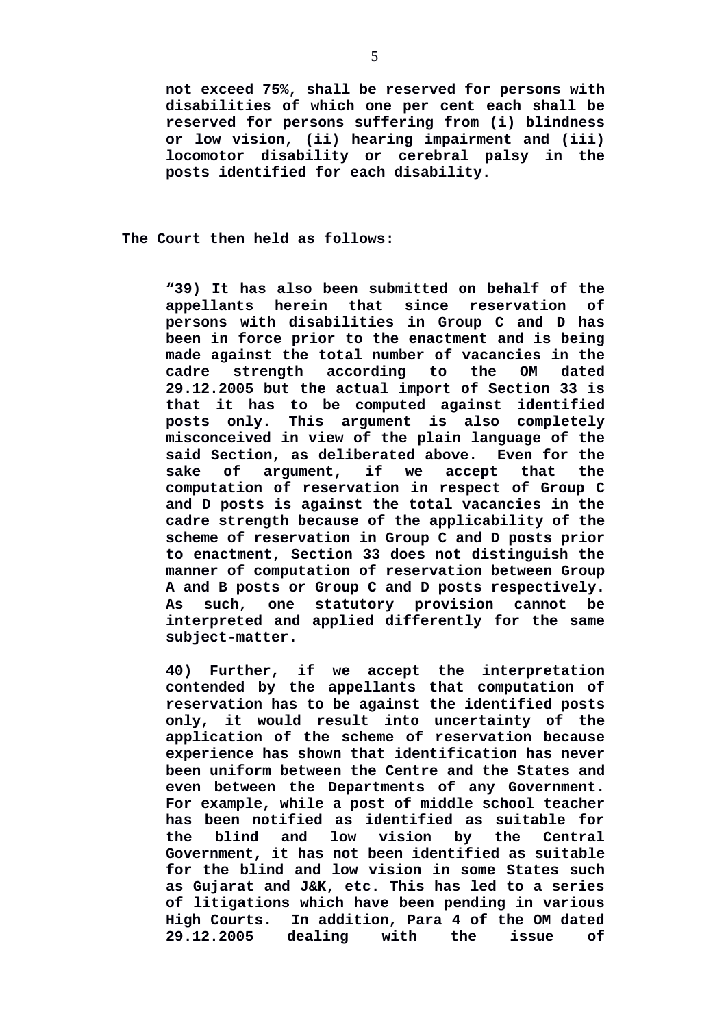**not exceed 75%, shall be reserved for persons with disabilities of which one per cent each shall be reserved for persons suffering from (i) blindness or low vision, (ii) hearing impairment and (iii) locomotor disability or cerebral palsy in the posts identified for each disability.** 

**The Court then held as follows:**

**"39) It has also been submitted on behalf of the appellants herein that since reservation of persons with disabilities in Group C and D has been in force prior to the enactment and is being made against the total number of vacancies in the cadre strength according to the OM dated 29.12.2005 but the actual import of Section 33 is that it has to be computed against identified posts only. This argument is also completely misconceived in view of the plain language of the said Section, as deliberated above. Even for the sake of argument, if we accept that the computation of reservation in respect of Group C and D posts is against the total vacancies in the cadre strength because of the applicability of the scheme of reservation in Group C and D posts prior to enactment, Section 33 does not distinguish the manner of computation of reservation between Group A and B posts or Group C and D posts respectively. As such, one statutory provision cannot be interpreted and applied differently for the same subject-matter.** 

**40) Further, if we accept the interpretation contended by the appellants that computation of reservation has to be against the identified posts only, it would result into uncertainty of the application of the scheme of reservation because experience has shown that identification has never been uniform between the Centre and the States and even between the Departments of any Government. For example, while a post of middle school teacher has been notified as identified as suitable for the blind and low vision by the Central Government, it has not been identified as suitable for the blind and low vision in some States such as Gujarat and J&K, etc. This has led to a series of litigations which have been pending in various High Courts. In addition, Para 4 of the OM dated 29.12.2005 dealing with the issue of**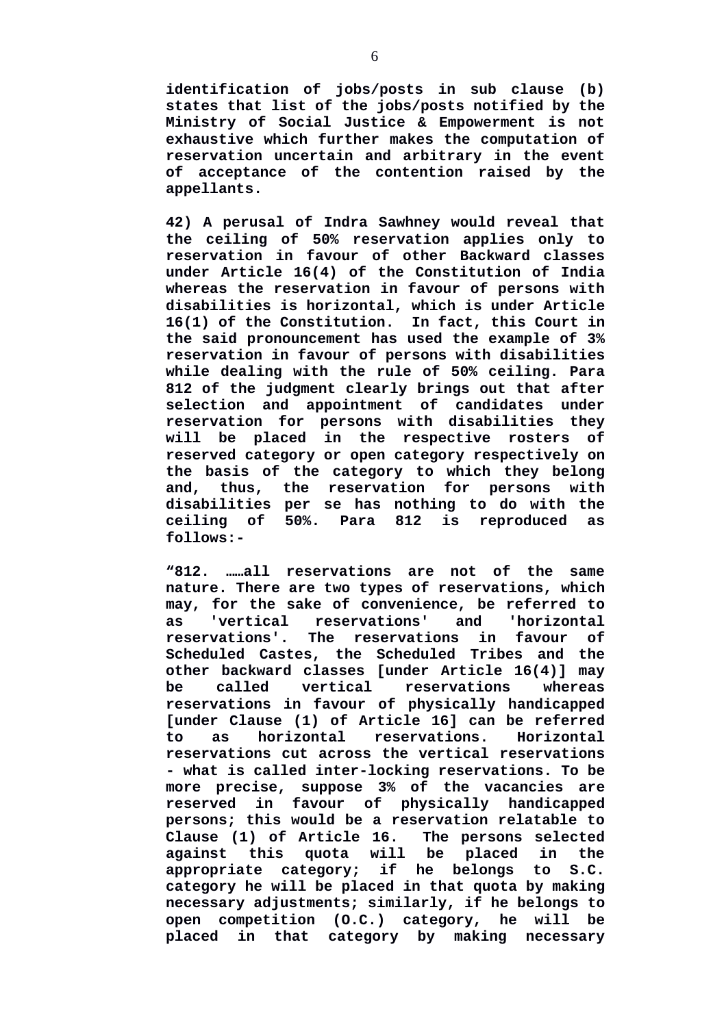**identification of jobs/posts in sub clause (b) states that list of the jobs/posts notified by the Ministry of Social Justice & Empowerment is not exhaustive which further makes the computation of reservation uncertain and arbitrary in the event of acceptance of the contention raised by the appellants.** 

**42) A perusal of Indra Sawhney would reveal that the ceiling of 50% reservation applies only to reservation in favour of other Backward classes under Article 16(4) of the Constitution of India whereas the reservation in favour of persons with disabilities is horizontal, which is under Article 16(1) of the Constitution. In fact, this Court in the said pronouncement has used the example of 3% reservation in favour of persons with disabilities while dealing with the rule of 50% ceiling. Para 812 of the judgment clearly brings out that after selection and appointment of candidates under reservation for persons with disabilities they will be placed in the respective rosters of reserved category or open category respectively on the basis of the category to which they belong and, thus, the reservation for persons with disabilities per se has nothing to do with the ceiling of 50%. Para 812 is reproduced as follows:-** 

**"812. ……all reservations are not of the same nature. There are two types of reservations, which may, for the sake of convenience, be referred to as 'vertical reservations' and 'horizontal reservations'. The reservations in favour of Scheduled Castes, the Scheduled Tribes and the other backward classes [under Article 16(4)] may be called vertical reservations whereas reservations in favour of physically handicapped [under Clause (1) of Article 16] can be referred to as horizontal reservations. Horizontal reservations cut across the vertical reservations - what is called inter-locking reservations. To be more precise, suppose 3% of the vacancies are reserved in favour of physically handicapped persons; this would be a reservation relatable to Clause (1) of Article 16. The persons selected against this quota will be placed in the appropriate category; if he belongs to S.C. category he will be placed in that quota by making necessary adjustments; similarly, if he belongs to open competition (O.C.) category, he will be placed in that category by making necessary**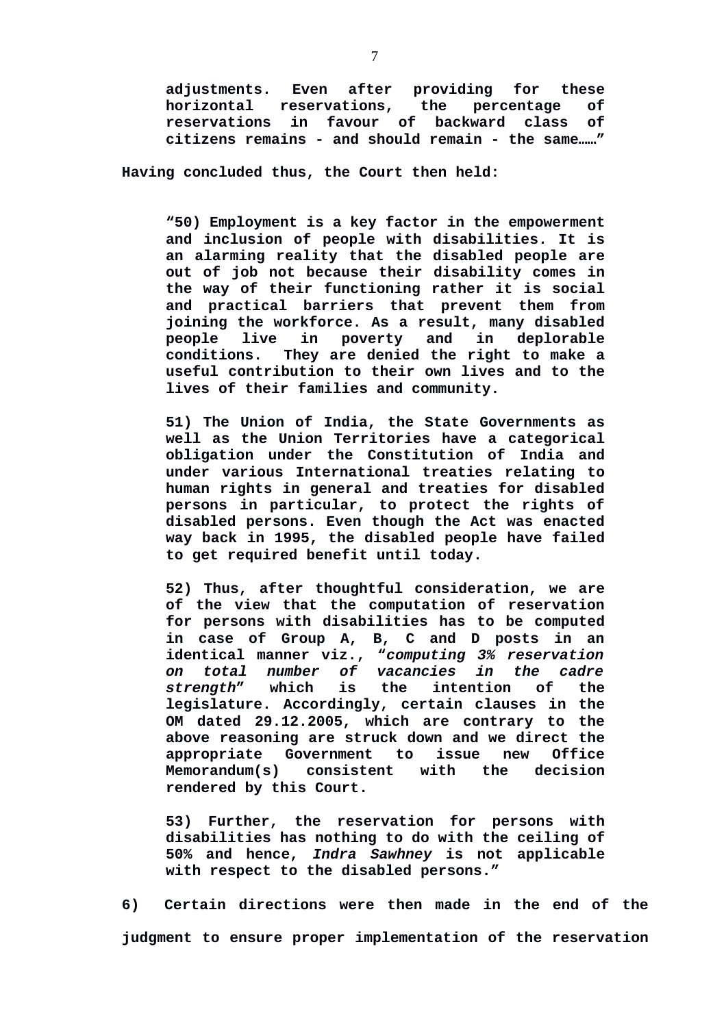**adjustments. Even after providing for these horizontal reservations, the percentage of reservations in favour of backward class of citizens remains - and should remain - the same……"**

**Having concluded thus, the Court then held:**

**"50) Employment is a key factor in the empowerment and inclusion of people with disabilities. It is an alarming reality that the disabled people are out of job not because their disability comes in the way of their functioning rather it is social and practical barriers that prevent them from joining the workforce. As a result, many disabled people live in poverty and in deplorable conditions. They are denied the right to make a useful contribution to their own lives and to the lives of their families and community.** 

**51) The Union of India, the State Governments as well as the Union Territories have a categorical obligation under the Constitution of India and under various International treaties relating to human rights in general and treaties for disabled persons in particular, to protect the rights of disabled persons. Even though the Act was enacted way back in 1995, the disabled people have failed to get required benefit until today.** 

**52) Thus, after thoughtful consideration, we are of the view that the computation of reservation for persons with disabilities has to be computed in case of Group A, B, C and D posts in an identical manner viz., "***computing 3% reservation on total number of vacancies in the cadre strength***" which is the intention of the legislature. Accordingly, certain clauses in the OM dated 29.12.2005, which are contrary to the above reasoning are struck down and we direct the appropriate Government to issue new Office Memorandum(s) consistent with the decision rendered by this Court.** 

**53) Further, the reservation for persons with disabilities has nothing to do with the ceiling of 50% and hence,** *Indra Sawhney* **is not applicable with respect to the disabled persons."** 

**6) Certain directions were then made in the end of the judgment to ensure proper implementation of the reservation**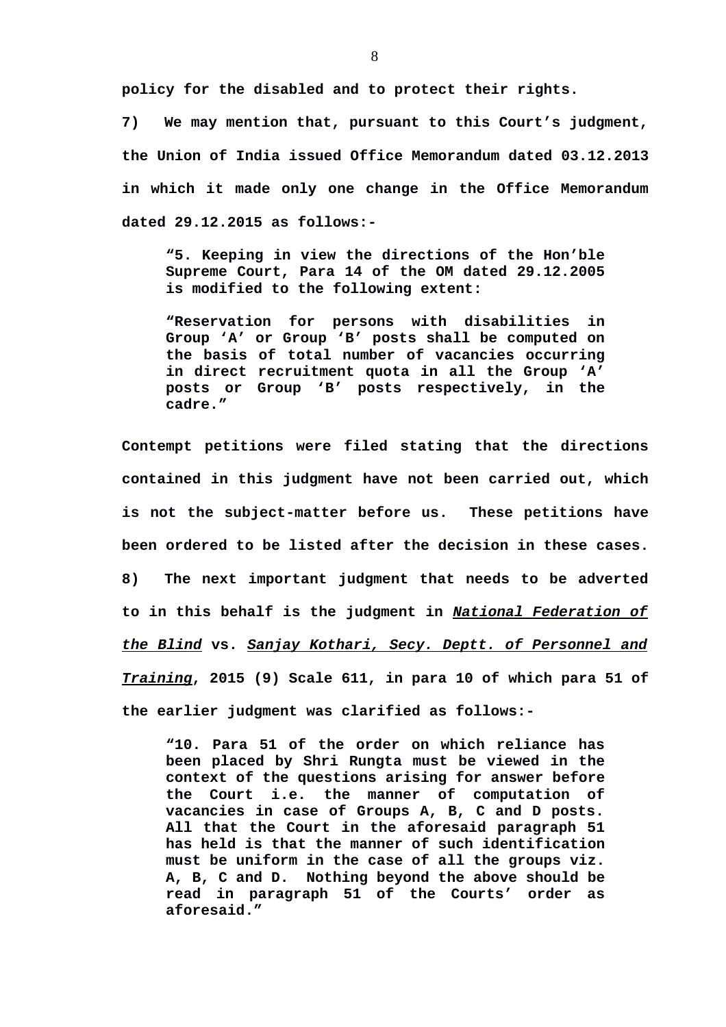**policy for the disabled and to protect their rights.**

**7) We may mention that, pursuant to this Court's judgment, the Union of India issued Office Memorandum dated 03.12.2013 in which it made only one change in the Office Memorandum dated 29.12.2015 as follows:-**

**"5. Keeping in view the directions of the Hon'ble Supreme Court, Para 14 of the OM dated 29.12.2005 is modified to the following extent:**

**"Reservation for persons with disabilities in Group 'A' or Group 'B' posts shall be computed on the basis of total number of vacancies occurring in direct recruitment quota in all the Group 'A' posts or Group 'B' posts respectively, in the cadre."**

**Contempt petitions were filed stating that the directions contained in this judgment have not been carried out, which is not the subject-matter before us. These petitions have been ordered to be listed after the decision in these cases. 8) The next important judgment that needs to be adverted to in this behalf is the judgment in** *National Federation of the Blind* **vs.** *Sanjay Kothari, Secy. Deptt. of Personnel and Training***, 2015 (9) Scale 611, in para 10 of which para 51 of the earlier judgment was clarified as follows:-**

**"10. Para 51 of the order on which reliance has been placed by Shri Rungta must be viewed in the context of the questions arising for answer before the Court i.e. the manner of computation of vacancies in case of Groups A, B, C and D posts. All that the Court in the aforesaid paragraph 51 has held is that the manner of such identification must be uniform in the case of all the groups viz. A, B, C and D. Nothing beyond the above should be read in paragraph 51 of the Courts' order as aforesaid."**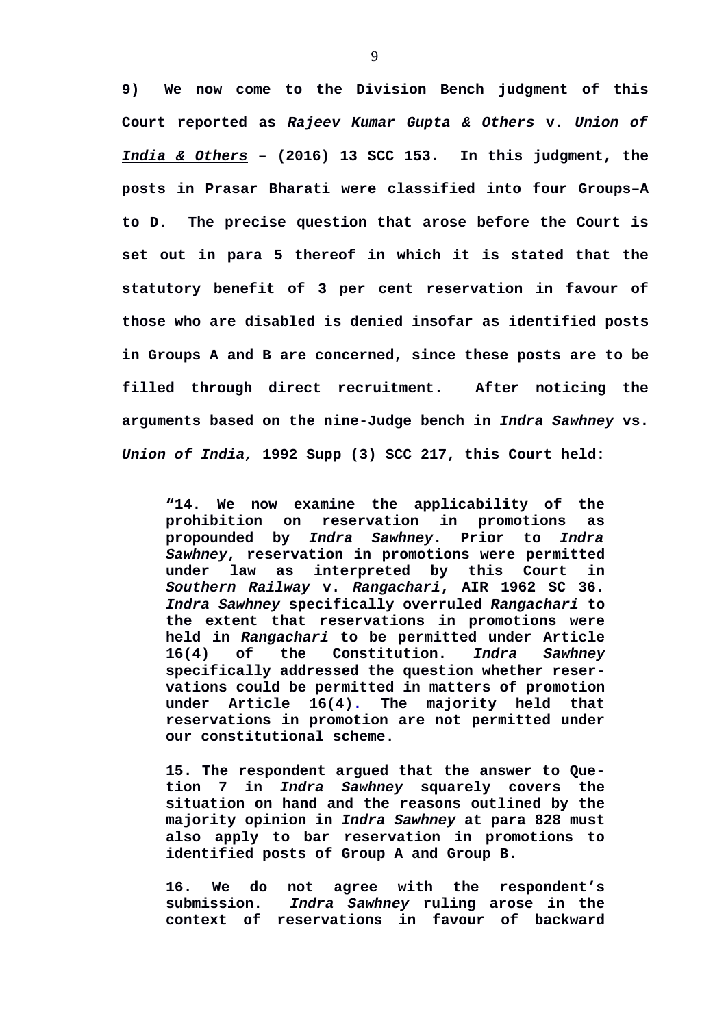**9) We now come to the Division Bench judgment of this Court reported as** *Rajeev Kumar Gupta & Others* **v.** *Union of India & Others* **– (2016) 13 SCC 153. In this judgment, the posts in Prasar Bharati were classified into four Groups–A to D. The precise question that arose before the Court is set out in para 5 thereof in which it is stated that the statutory benefit of 3 per cent reservation in favour of those who are disabled is denied insofar as identified posts in Groups A and B are concerned, since these posts are to be filled through direct recruitment. After noticing the arguments based on the nine-Judge bench in** *Indra Sawhney* **vs.** *Union of India,* **1992 Supp (3) SCC 217, this Court held:**

**"14. We now examine the applicability of the prohibition on reservation in promotions as propounded by** *Indra Sawhney***. Prior to** *Indra Sawhney***, reservation in promotions were permitted under law as interpreted by this Court in** *Southern Railway* **v.** *Rangachari***, AIR 1962 SC 36.** *Indra Sawhney* **specifically overruled** *Rangachari* **to the extent that reservations in promotions were held in** *Rangachari* **to be permitted under Article 16(4) of the Constitution.** *Indra Sawhney* **specifically addressed the question whether reservations could be permitted in matters of promotion under Article 16(4). The majority held that reservations in promotion are not permitted under our constitutional scheme.** 

**15. The respondent argued that the answer to Quetion 7 in** *Indra Sawhney* **squarely covers the situation on hand and the reasons outlined by the majority opinion in** *Indra Sawhney* **at para 828 must also apply to bar reservation in promotions to identified posts of Group A and Group B.** 

**16. We do not agree with the respondent's submission.** *Indra Sawhney* **ruling arose in the context of reservations in favour of backward**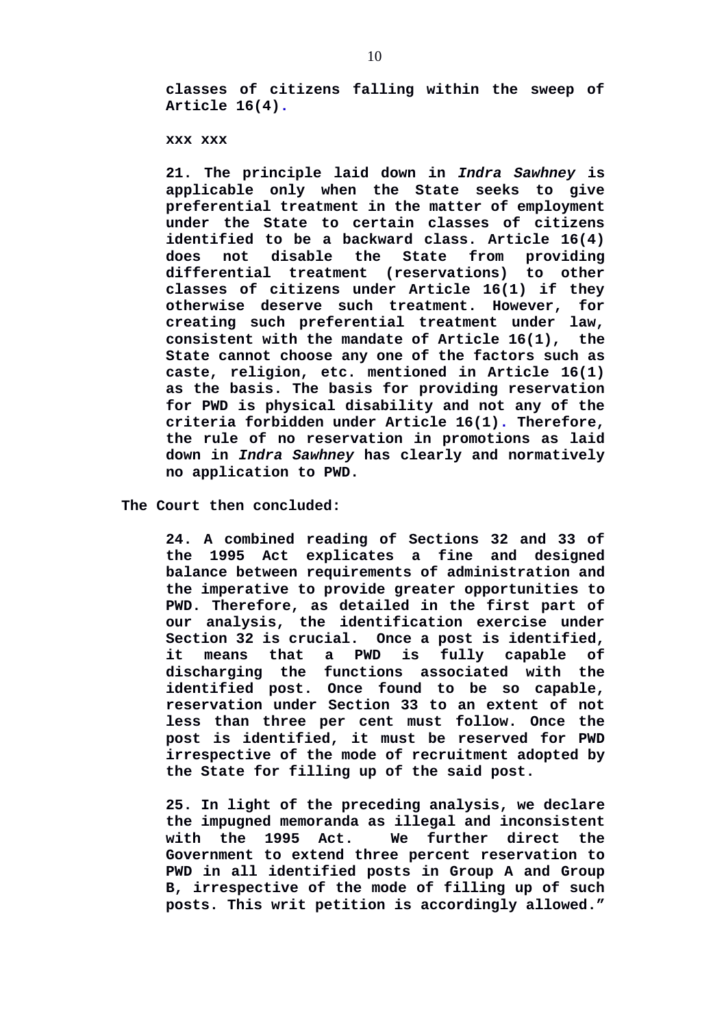**classes of citizens falling within the sweep of Article 16(4).**

**xxx xxx**

**21. The principle laid down in** *Indra Sawhney* **is applicable only when the State seeks to give preferential treatment in the matter of employment under the State to certain classes of citizens identified to be a backward class. Article 16(4) does not disable the State from providing differential treatment (reservations) to other classes of citizens under Article 16(1) if they otherwise deserve such treatment. However, for creating such preferential treatment under law, consistent with the mandate of Article 16(1), the State cannot choose any one of the factors such as caste, religion, etc. mentioned in Article 16(1) as the basis. The basis for providing reservation for PWD is physical disability and not any of the criteria forbidden under Article 16(1). Therefore, the rule of no reservation in promotions as laid down in** *Indra Sawhney* **has clearly and normatively no application to PWD.**

**The Court then concluded:**

**24. A combined reading of Sections 32 and 33 of the 1995 Act explicates a fine and designed balance between requirements of administration and the imperative to provide greater opportunities to PWD. Therefore, as detailed in the first part of our analysis, the identification exercise under Section 32 is crucial. Once a post is identified, it means that a PWD is fully capable of discharging the functions associated with the identified post. Once found to be so capable, reservation under Section 33 to an extent of not less than three per cent must follow. Once the post is identified, it must be reserved for PWD irrespective of the mode of recruitment adopted by the State for filling up of the said post.** 

**25. In light of the preceding analysis, we declare the impugned memoranda as illegal and inconsistent with the 1995 Act. We further direct the Government to extend three percent reservation to PWD in all identified posts in Group A and Group B, irrespective of the mode of filling up of such posts. This writ petition is accordingly allowed."**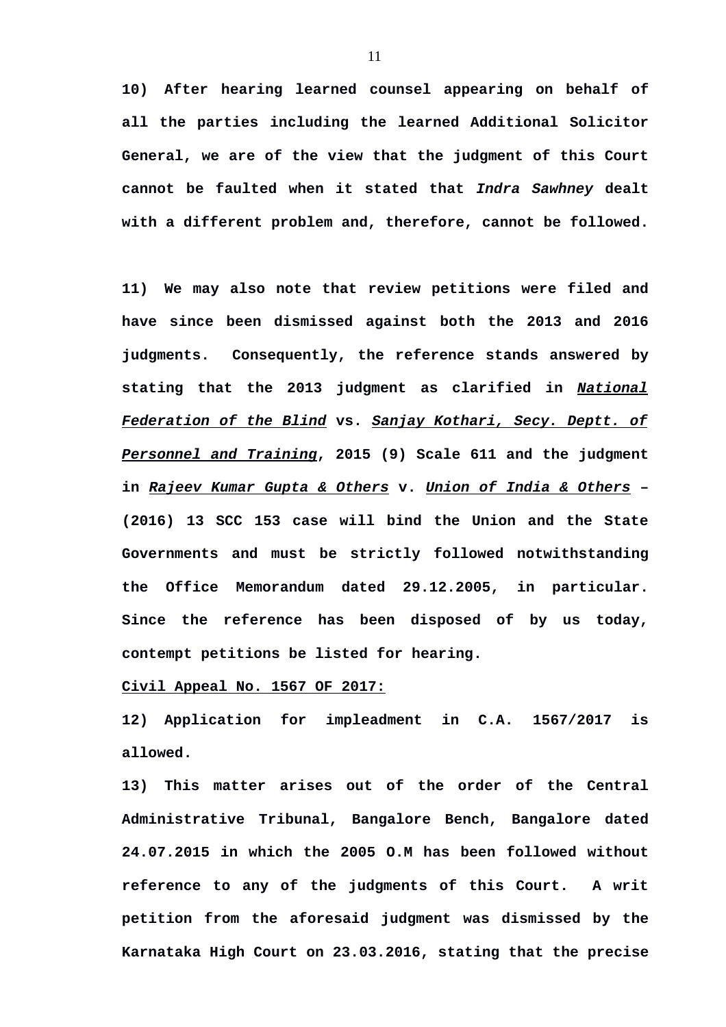**10) After hearing learned counsel appearing on behalf of all the parties including the learned Additional Solicitor General, we are of the view that the judgment of this Court cannot be faulted when it stated that** *Indra Sawhney* **dealt with a different problem and, therefore, cannot be followed.**

**11) We may also note that review petitions were filed and have since been dismissed against both the 2013 and 2016 judgments. Consequently, the reference stands answered by stating that the 2013 judgment as clarified in** *National Federation of the Blind* **vs.** *Sanjay Kothari, Secy. Deptt. of Personnel and Training***, 2015 (9) Scale 611 and the judgment in** *Rajeev Kumar Gupta & Others* **v.** *Union of India & Others* **– (2016) 13 SCC 153 case will bind the Union and the State Governments and must be strictly followed notwithstanding the Office Memorandum dated 29.12.2005, in particular. Since the reference has been disposed of by us today, contempt petitions be listed for hearing.**

**Civil Appeal No. 1567 OF 2017:**

**12) Application for impleadment in C.A. 1567/2017 is allowed.**

**13) This matter arises out of the order of the Central Administrative Tribunal, Bangalore Bench, Bangalore dated 24.07.2015 in which the 2005 O.M has been followed without reference to any of the judgments of this Court. A writ petition from the aforesaid judgment was dismissed by the Karnataka High Court on 23.03.2016, stating that the precise**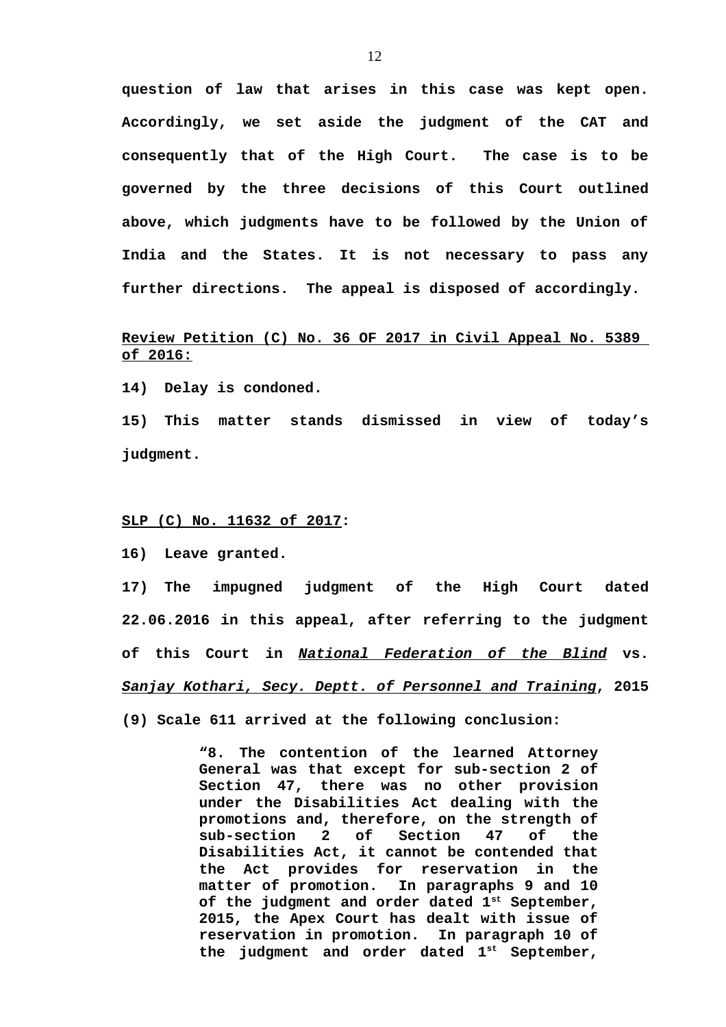**question of law that arises in this case was kept open. Accordingly, we set aside the judgment of the CAT and consequently that of the High Court. The case is to be governed by the three decisions of this Court outlined above, which judgments have to be followed by the Union of India and the States. It is not necessary to pass any further directions. The appeal is disposed of accordingly.**

# **Review Petition (C) No. 36 OF 2017 in Civil Appeal No. 5389 of 2016:**

**14) Delay is condoned.**

**15) This matter stands dismissed in view of today's judgment.**

#### **SLP (C) No. 11632 of 2017:**

**16) Leave granted.**

**17) The impugned judgment of the High Court dated 22.06.2016 in this appeal, after referring to the judgment of this Court in** *National Federation of the Blind* **vs.** *Sanjay Kothari, Secy. Deptt. of Personnel and Training***, 2015**

**(9) Scale 611 arrived at the following conclusion:**

**"8. The contention of the learned Attorney General was that except for sub-section 2 of Section 47, there was no other provision under the Disabilities Act dealing with the promotions and, therefore, on the strength of sub-section 2 of Section 47 of the Disabilities Act, it cannot be contended that the Act provides for reservation in the matter of promotion. In paragraphs 9 and 10 of the judgment and order dated 1st September, 2015, the Apex Court has dealt with issue of reservation in promotion. In paragraph 10 of the judgment and order dated 1st September,**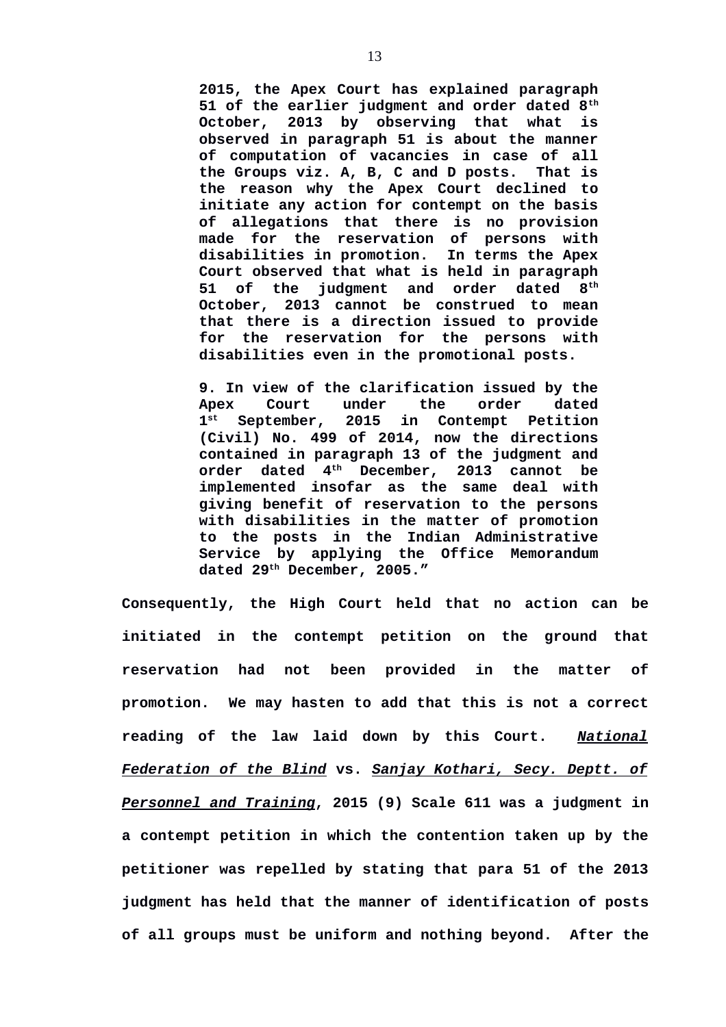**2015, the Apex Court has explained paragraph 51 of the earlier judgment and order dated 8th October, 2013 by observing that what is observed in paragraph 51 is about the manner of computation of vacancies in case of all the Groups viz. A, B, C and D posts. That is the reason why the Apex Court declined to initiate any action for contempt on the basis of allegations that there is no provision made for the reservation of persons with disabilities in promotion. In terms the Apex Court observed that what is held in paragraph 51 of the judgment and order dated 8th October, 2013 cannot be construed to mean that there is a direction issued to provide for the reservation for the persons with disabilities even in the promotional posts.**

**9. In view of the clarification issued by the Apex Court under the order dated 1 st September, 2015 in Contempt Petition (Civil) No. 499 of 2014, now the directions contained in paragraph 13 of the judgment and order dated 4th December, 2013 cannot be implemented insofar as the same deal with giving benefit of reservation to the persons with disabilities in the matter of promotion to the posts in the Indian Administrative Service by applying the Office Memorandum dated 29th December, 2005."**

**Consequently, the High Court held that no action can be initiated in the contempt petition on the ground that reservation had not been provided in the matter of promotion. We may hasten to add that this is not a correct reading of the law laid down by this Court.** *National Federation of the Blind* **vs.** *Sanjay Kothari, Secy. Deptt. of Personnel and Training***, 2015 (9) Scale 611 was a judgment in a contempt petition in which the contention taken up by the petitioner was repelled by stating that para 51 of the 2013 judgment has held that the manner of identification of posts of all groups must be uniform and nothing beyond. After the**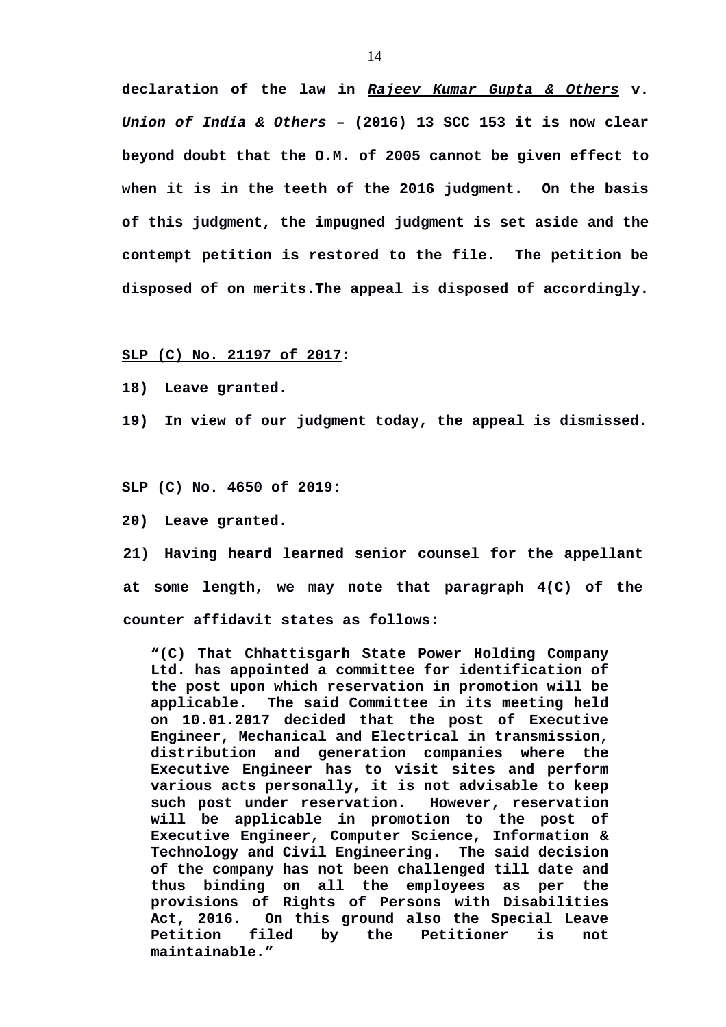**declaration of the law in** *Rajeev Kumar Gupta & Others* **v.** *Union of India & Others* **– (2016) 13 SCC 153 it is now clear beyond doubt that the O.M. of 2005 cannot be given effect to when it is in the teeth of the 2016 judgment. On the basis of this judgment, the impugned judgment is set aside and the contempt petition is restored to the file. The petition be disposed of on merits.The appeal is disposed of accordingly.**

#### **SLP (C) No. 21197 of 2017:**

- **18) Leave granted.**
- **19) In view of our judgment today, the appeal is dismissed.**

## **SLP (C) No. 4650 of 2019:**

**20) Leave granted.**

**21) Having heard learned senior counsel for the appellant at some length, we may note that paragraph 4(C) of the counter affidavit states as follows:** 

**"(C) That Chhattisgarh State Power Holding Company Ltd. has appointed a committee for identification of the post upon which reservation in promotion will be applicable. The said Committee in its meeting held on 10.01.2017 decided that the post of Executive Engineer, Mechanical and Electrical in transmission, distribution and generation companies where the Executive Engineer has to visit sites and perform various acts personally, it is not advisable to keep such post under reservation. However, reservation will be applicable in promotion to the post of Executive Engineer, Computer Science, Information & Technology and Civil Engineering. The said decision of the company has not been challenged till date and thus binding on all the employees as per the provisions of Rights of Persons with Disabilities Act, 2016. On this ground also the Special Leave Petition filed by the Petitioner is not maintainable."**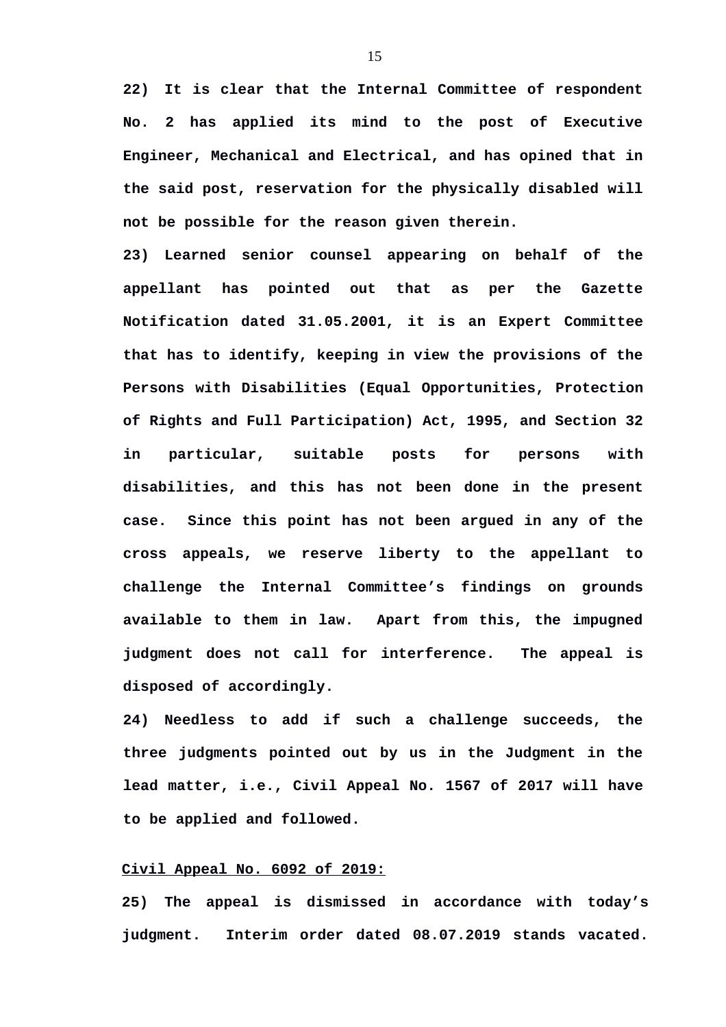**22) It is clear that the Internal Committee of respondent No. 2 has applied its mind to the post of Executive Engineer, Mechanical and Electrical, and has opined that in the said post, reservation for the physically disabled will not be possible for the reason given therein.** 

**23) Learned senior counsel appearing on behalf of the appellant has pointed out that as per the Gazette Notification dated 31.05.2001, it is an Expert Committee that has to identify, keeping in view the provisions of the Persons with Disabilities (Equal Opportunities, Protection of Rights and Full Participation) Act, 1995, and Section 32 in particular, suitable posts for persons with disabilities, and this has not been done in the present case. Since this point has not been argued in any of the cross appeals, we reserve liberty to the appellant to challenge the Internal Committee's findings on grounds available to them in law. Apart from this, the impugned judgment does not call for interference. The appeal is disposed of accordingly.**

**24) Needless to add if such a challenge succeeds, the three judgments pointed out by us in the Judgment in the lead matter, i.e., Civil Appeal No. 1567 of 2017 will have to be applied and followed.**

### **Civil Appeal No. 6092 of 2019:**

**25) The appeal is dismissed in accordance with today's judgment. Interim order dated 08.07.2019 stands vacated.**